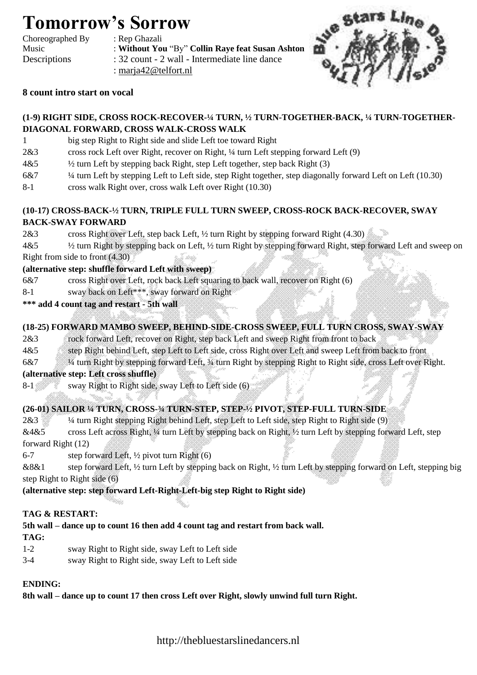# **Tomorrow's Sorrow**

Choreographed By : Rep Ghazali

Music : **Without You** "By" **Collin Raye feat Susan Ashton** Descriptions : 32 count - 2 wall - Intermediate line dance : [marja42@telfort.nl](mailto:marja42@telfort.nl)



### **8 count intro start on vocal**

### **(1-9) RIGHT SIDE, CROSS ROCK-RECOVER-¼ TURN, ½ TURN-TOGETHER-BACK, ¼ TURN-TOGETHER-DIAGONAL FORWARD, CROSS WALK-CROSS WALK**

- 1 big step Right to Right side and slide Left toe toward Right
- 2&3 cross rock Left over Right, recover on Right, ¼ turn Left stepping forward Left (9)
- $4&5$   $\frac{1}{2}$  turn Left by stepping back Right, step Left together, step back Right (3)
- 6&7 ¼ turn Left by stepping Left to Left side, step Right together, step diagonally forward Left on Left (10.30)
- 8-1 cross walk Right over, cross walk Left over Right (10.30)

# **(10-17) CROSS-BACK-½ TURN, TRIPLE FULL TURN SWEEP, CROSS-ROCK BACK-RECOVER, SWAY**

### **BACK-SWAY FORWARD**

- 2&3 cross Right over Left, step back Left, ½ turn Right by stepping forward Right (4.30)
- 4&5 ½ turn Right by stepping back on Left, ½ turn Right by stepping forward Right, step forward Left and sweep on Right from side to front (4.30)

### **(alternative step: shuffle forward Left with sweep)**

- 6&7 cross Right over Left, rock back Left squaring to back wall, recover on Right (6)
- 8-1 sway back on Left\*\*\*, sway forward on Right
- **\*\*\* add 4 count tag and restart - 5th wall**

# **(18-25) FORWARD MAMBO SWEEP, BEHIND-SIDE-CROSS SWEEP, FULL TURN CROSS, SWAY-SWAY**

- 2&3 rock forward Left, recover on Right, step back Left and sweep Right from front to back
- 4&5 step Right behind Left, step Left to Left side, cross Right over Left and sweep Left from back to front
- 6&7 ¼ turn Right by stepping forward Left, ¾ turn Right by stepping Right to Right side, cross Left over Right.

#### **(alternative step: Left cross shuffle)**

8-1 sway Right to Right side, sway Left to Left side (6)

# **(26-01) SAILOR ¼ TURN, CROSS-¾ TURN-STEP, STEP-½ PIVOT, STEP-FULL TURN-SIDE**

- 2&3 ¼ turn Right stepping Right behind Left, step Left to Left side, step Right to Right side (9)
- &4&5 cross Left across Right, ¼ turn Left by stepping back on Right, ½ turn Left by stepping forward Left, step forward Right (12)
- 6-7 step forward Left,  $\frac{1}{2}$  pivot turn Right (6)
- &8&1 step forward Left, ½ turn Left by stepping back on Right, ½ turn Left by stepping forward on Left, stepping big step Right to Right side (6)
- **(alternative step: step forward Left-Right-Left-big step Right to Right side)**

#### **TAG & RESTART:**

# **5th wall – dance up to count 16 then add 4 count tag and restart from back wall.**

#### **TAG:**

- 1-2 sway Right to Right side, sway Left to Left side
- 3-4 sway Right to Right side, sway Left to Left side

#### **ENDING:**

**8th wall – dance up to count 17 then cross Left over Right, slowly unwind full turn Right.**

http://thebluestarslinedancers.nl